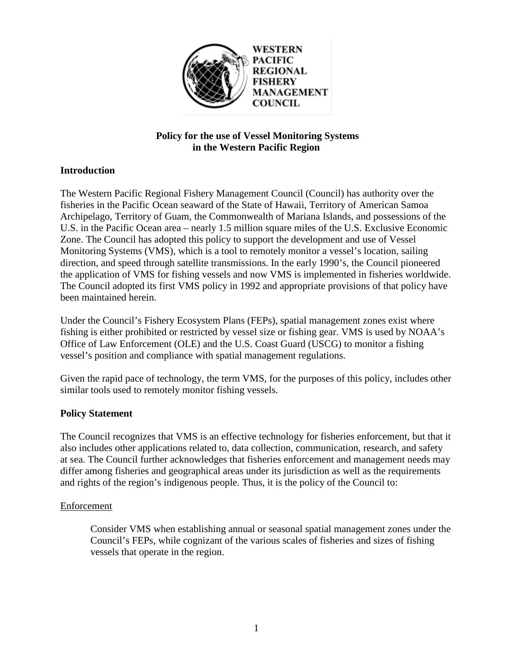

# **Policy for the use of Vessel Monitoring Systems in the Western Pacific Region**

# **Introduction**

The Western Pacific Regional Fishery Management Council (Council) has authority over the fisheries in the Pacific Ocean seaward of the State of Hawaii, Territory of American Samoa Archipelago, Territory of Guam, the Commonwealth of Mariana Islands, and possessions of the U.S. in the Pacific Ocean area – nearly 1.5 million square miles of the U.S. Exclusive Economic Zone. The Council has adopted this policy to support the development and use of Vessel Monitoring Systems (VMS), which is a tool to remotely monitor a vessel's location, sailing direction, and speed through satellite transmissions. In the early 1990's, the Council pioneered the application of VMS for fishing vessels and now VMS is implemented in fisheries worldwide. The Council adopted its first VMS policy in 1992 and appropriate provisions of that policy have been maintained herein.

Under the Council's Fishery Ecosystem Plans (FEPs), spatial management zones exist where fishing is either prohibited or restricted by vessel size or fishing gear. VMS is used by NOAA's Office of Law Enforcement (OLE) and the U.S. Coast Guard (USCG) to monitor a fishing vessel's position and compliance with spatial management regulations.

Given the rapid pace of technology, the term VMS, for the purposes of this policy, includes other similar tools used to remotely monitor fishing vessels.

## **Policy Statement**

The Council recognizes that VMS is an effective technology for fisheries enforcement, but that it also includes other applications related to, data collection, communication, research, and safety at sea. The Council further acknowledges that fisheries enforcement and management needs may differ among fisheries and geographical areas under its jurisdiction as well as the requirements and rights of the region's indigenous people. Thus, it is the policy of the Council to:

## Enforcement

Consider VMS when establishing annual or seasonal spatial management zones under the Council's FEPs, while cognizant of the various scales of fisheries and sizes of fishing vessels that operate in the region.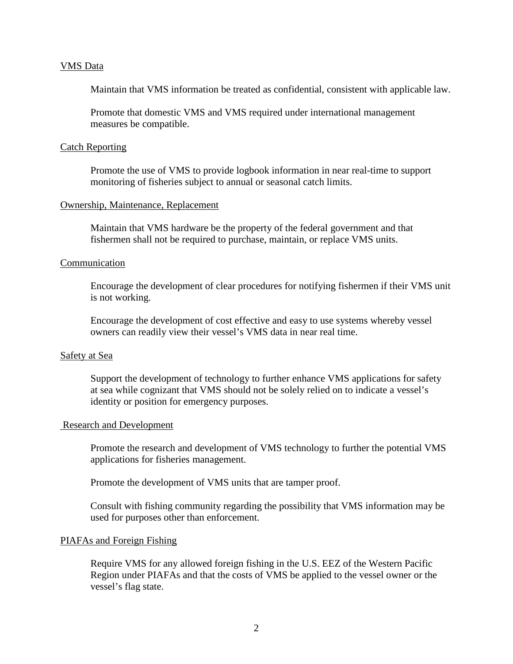### VMS Data

Maintain that VMS information be treated as confidential, consistent with applicable law.

Promote that domestic VMS and VMS required under international management measures be compatible.

#### Catch Reporting

Promote the use of VMS to provide logbook information in near real-time to support monitoring of fisheries subject to annual or seasonal catch limits.

#### Ownership, Maintenance, Replacement

Maintain that VMS hardware be the property of the federal government and that fishermen shall not be required to purchase, maintain, or replace VMS units.

#### Communication

Encourage the development of clear procedures for notifying fishermen if their VMS unit is not working.

Encourage the development of cost effective and easy to use systems whereby vessel owners can readily view their vessel's VMS data in near real time.

### Safety at Sea

Support the development of technology to further enhance VMS applications for safety at sea while cognizant that VMS should not be solely relied on to indicate a vessel's identity or position for emergency purposes.

#### Research and Development

Promote the research and development of VMS technology to further the potential VMS applications for fisheries management.

Promote the development of VMS units that are tamper proof.

Consult with fishing community regarding the possibility that VMS information may be used for purposes other than enforcement.

#### PIAFAs and Foreign Fishing

Require VMS for any allowed foreign fishing in the U.S. EEZ of the Western Pacific Region under PIAFAs and that the costs of VMS be applied to the vessel owner or the vessel's flag state.